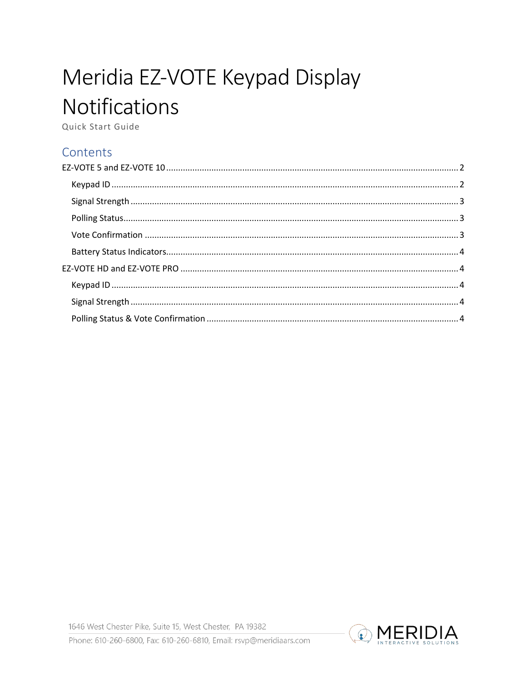# Meridia EZ-VOTE Keypad Display **Notifications**

Quick Start Guide

## Contents

1646 West Chester Pike, Suite 15, West Chester, PA 19382

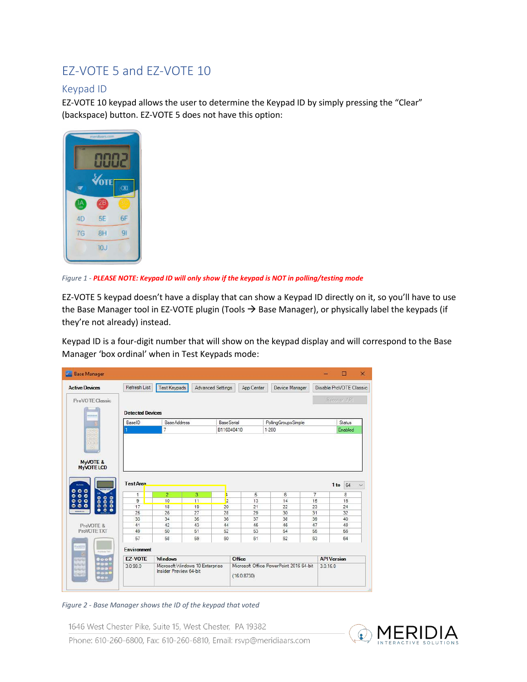## <span id="page-1-0"></span>EZ-VOTE 5 and EZ-VOTE 10

#### <span id="page-1-1"></span>Keypad ID

EZ-VOTE 10 keypad allows the user to determine the Keypad ID by simply pressing the "Clear" (backspace) button. EZ-VOTE 5 does not have this option:



*Figure 1 - PLEASE NOTE: Keypad ID will only show if the keypad is NOT in polling/testing mode*

EZ-VOTE 5 keypad doesn't have a display that can show a Keypad ID directly on it, so you'll have to use the Base Manager tool in EZ-VOTE plugin (Tools  $\rightarrow$  Base Manager), or physically label the keypads (if they're not already) instead.

Keypad ID is a four-digit number that will show on the keypad display and will correspond to the Base Manager 'box ordinal' when in Test Keypads mode:

| <b>Active Devices</b>        | Refresh List                      | <b>Test Keypads</b>  |          | Advanced Settings  | App Center | Device Manager                          |              | Disable ProVOTE Classic |
|------------------------------|-----------------------------------|----------------------|----------|--------------------|------------|-----------------------------------------|--------------|-------------------------|
| ProVOTE Classic              |                                   |                      |          |                    |            |                                         |              | <b>Recover API</b>      |
| машна                        | <b>Detected Devices</b><br>BaselD | <b>BaseAddress</b>   |          | <b>Base Serial</b> |            | PollingGroupsSimple                     |              | Status                  |
|                              |                                   | 7                    |          | B116040410         |            | 1-200                                   |              | Enabled                 |
| <b>MyVOTE LCD</b>            | <b>Test Area</b>                  |                      |          |                    |            |                                         |              | 1 to 64                 |
| $\alpha$                     | 1<br>$\overline{9}$               | $\overline{2}$<br>10 | 3        | L                  | 5<br>13    | 6<br>14                                 | $\tau$<br>15 | 8<br>16                 |
| o                            | 17                                | 18                   | 11<br>19 | 12<br>20           | 21         | 22                                      | 23           | 24                      |
| 00000                        | 25                                | 26                   | 27       | 28                 | 29         | 30                                      | 31           | 32                      |
|                              | 33                                | 34                   | 35       | 36                 | 37         | 38                                      | 39           | 40                      |
| ProVOTE &                    | 41                                | 42                   | 43       | 44                 | 45         | 46                                      | 47           | 48                      |
| ProVOTE TXT                  | 49                                | 50                   | 51       | 52                 | 53         | 54                                      | 55           | 56                      |
| 8888                         | 57                                | 58                   | 59       | 60                 | 61         | 62                                      | 63           | 64                      |
| WHOTE<br><b>Products TAT</b> | Environment                       |                      |          |                    |            |                                         |              |                         |
| 0000<br>GRAN<br>pee          | <b>F7-VOTE</b>                    | <b>Windows</b>       |          |                    | Office     | Microsoft Office PowerPoint 2016 64-bit |              | <b>API Version</b>      |

#### *Figure 2 - Base Manager shows the ID of the keypad that voted*

1646 West Chester Pike, Suite 15, West Chester, PA 19382



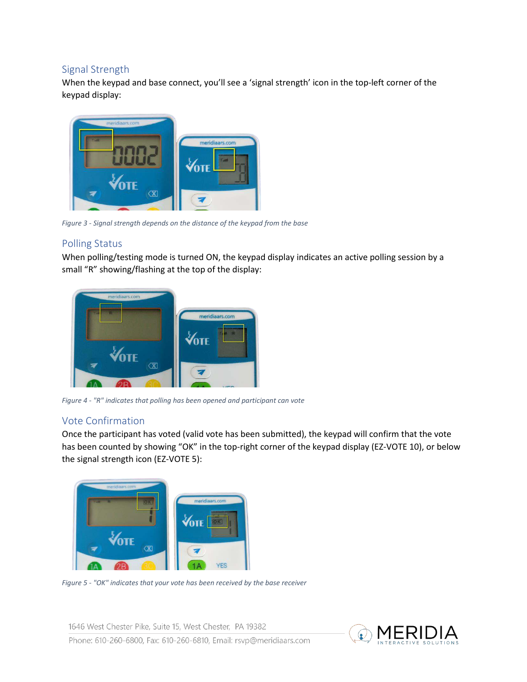#### <span id="page-2-0"></span>Signal Strength

When the keypad and base connect, you'll see a 'signal strength' icon in the top-left corner of the keypad display:



*Figure 3 - Signal strength depends on the distance of the keypad from the base* 

#### <span id="page-2-1"></span>Polling Status

When polling/testing mode is turned ON, the keypad display indicates an active polling session by a small "R" showing/flashing at the top of the display:



*Figure 4 - "R" indicates that polling has been opened and participant can vote* 

### <span id="page-2-2"></span>Vote Confirmation

Once the participant has voted (valid vote has been submitted), the keypad will confirm that the vote has been counted by showing "OK" in the top-right corner of the keypad display (EZ-VOTE 10), or below the signal strength icon (EZ-VOTE 5):



*Figure 5 - "OK" indicates that your vote has been received by the base receiver* 

1646 West Chester Pike, Suite 15, West Chester, PA 19382 Phone: 610-260-6800, Fax: 610-260-6810, Email: rsvp@meridiaars.com

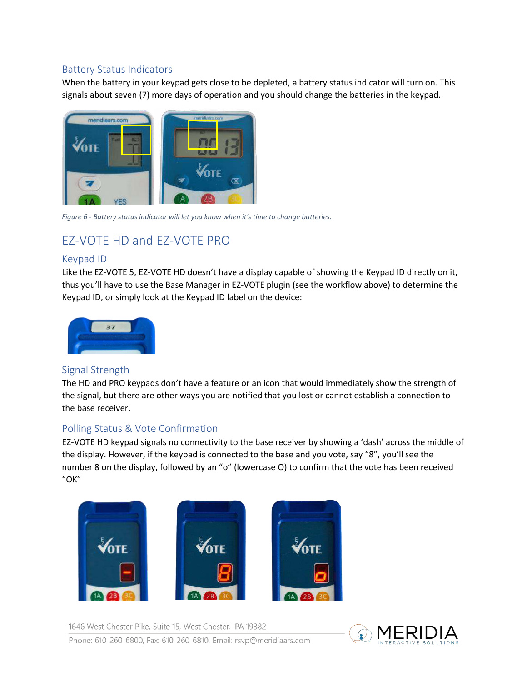#### <span id="page-3-0"></span>Battery Status Indicators

When the battery in your keypad gets close to be depleted, a battery status indicator will turn on. This signals about seven (7) more days of operation and you should change the batteries in the keypad.



*Figure 6 - Battery status indicator will let you know when it's time to change batteries.* 

## <span id="page-3-1"></span>EZ-VOTE HD and EZ-VOTE PRO

#### <span id="page-3-2"></span>Keypad ID

Like the EZ-VOTE 5, EZ-VOTE HD doesn't have a display capable of showing the Keypad ID directly on it, thus you'll have to use the Base Manager in EZ-VOTE plugin (see the workflow above) to determine the Keypad ID, or simply look at the Keypad ID label on the device:



### <span id="page-3-3"></span>Signal Strength

The HD and PRO keypads don't have a feature or an icon that would immediately show the strength of the signal, but there are other ways you are notified that you lost or cannot establish a connection to the base receiver.

### <span id="page-3-4"></span>Polling Status & Vote Confirmation

EZ-VOTE HD keypad signals no connectivity to the base receiver by showing a 'dash' across the middle of the display. However, if the keypad is connected to the base and you vote, say "8", you'll see the number 8 on the display, followed by an "o" (lowercase O) to confirm that the vote has been received "OK"



1646 West Chester Pike, Suite 15, West Chester, PA 19382 Phone: 610-260-6800, Fax: 610-260-6810, Email: rsvp@meridiaars.com